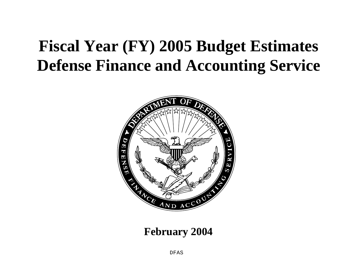# **Fiscal Year (FY) 2005 Budget Estimates Defense Finance and Accounting Service**



# **February 2004**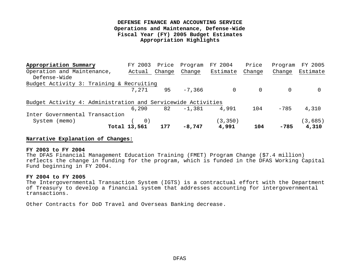| Appropriation Summary                                        | FY 2003           | Price  | Program  | FY 2004        | Price    | Program  | FY 2005  |
|--------------------------------------------------------------|-------------------|--------|----------|----------------|----------|----------|----------|
| Operation and Maintenance,                                   | Actual            | Change | Change   | Estimate       | Change   | Change   | Estimate |
| Defense-Wide                                                 |                   |        |          |                |          |          |          |
| Budget Activity 3: Training & Recruiting                     |                   |        |          |                |          |          |          |
|                                                              | 7,271             | 95     | $-7,366$ | $\overline{0}$ | $\Omega$ | $\Omega$ |          |
| Budget Activity 4: Administration and Servicewide Activities |                   |        |          |                |          |          |          |
|                                                              | 6,290             | 82     | $-1,381$ | 4,991          | 104      | $-785$   | 4,310    |
| Inter Governmental Transaction                               |                   |        |          |                |          |          |          |
| System (memo)                                                | $\left( 0\right)$ |        |          | (3, 350)       |          |          | (3,685)  |
|                                                              | Total 13,561      | 177    | $-8,747$ | 4,991          | 104      | $-785$   | 4,310    |

#### **Narrative Explanation of Changes:**

#### **FY 2003 to FY 2004**

The DFAS Financial Management Education Training (FMET) Program Change (\$7.4 million) reflects the change in funding for the program, which is funded in the DFAS Working Capital Fund beginning in FY 2004.

#### **FY 2004 to FY 2005**

The Intergovernmental Transaction System (IGTS) is a contractual effort with the Department of Treasury to develop a financial system that addresses accounting for intergovernmental transactions.

Other Contracts for DoD Travel and Overseas Banking decrease.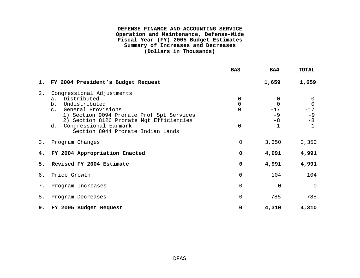#### **DEFENSE FINANCE AND ACCOUNTING SERVICE Operation and Maintenance, Defense-Wide Fiscal Year (FY) 2005 Budget Estimates Summary of Increases and Decreases (Dollars in Thousands)**

|    |                                                                                                                                                                                                                                                             | BA3                            | BA4                                            | <b>TOTAL</b>                                         |
|----|-------------------------------------------------------------------------------------------------------------------------------------------------------------------------------------------------------------------------------------------------------------|--------------------------------|------------------------------------------------|------------------------------------------------------|
| 1. | FY 2004 President's Budget Request                                                                                                                                                                                                                          |                                | 1,659                                          | 1,659                                                |
| 2. | Congressional Adjustments<br>Distributed<br>a.<br>Undistributed<br>b.<br>c. General Provisions<br>1) Section 9094 Prorate Prof Spt Services<br>2) Section 8126 Prorate Mgt Efficiencies<br>Congressional Earmark<br>d.<br>Section 8044 Prorate Indian Lands | 0<br>0<br>$\Omega$<br>$\Omega$ | 0<br>$\Omega$<br>$-17$<br>$-9$<br>$-8$<br>$-1$ | 0<br>$\overline{0}$<br>$-17$<br>$-9$<br>$-8$<br>$-1$ |
| 3. | Program Changes                                                                                                                                                                                                                                             | 0                              | 3,350                                          | 3,350                                                |
| 4. | FY 2004 Appropriation Enacted                                                                                                                                                                                                                               | 0                              | 4,991                                          | 4,991                                                |
| 5. | Revised FY 2004 Estimate                                                                                                                                                                                                                                    | 0                              | 4,991                                          | 4,991                                                |
| б. | Price Growth                                                                                                                                                                                                                                                | $\mathbf 0$                    | 104                                            | 104                                                  |
| 7. | Program Increases                                                                                                                                                                                                                                           | $\mathbf 0$                    | $\overline{0}$                                 | $\mathsf{O}$                                         |
| 8. | Program Decreases                                                                                                                                                                                                                                           | $\mathbf 0$                    | $-785$                                         | $-785$                                               |
| 9. | FY 2005 Budget Request                                                                                                                                                                                                                                      | 0                              | 4,310                                          | 4,310                                                |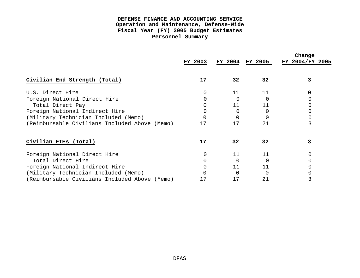|                                               | FY 2003 |                 | FY 2004 FY 2005 | Change<br>FY 2004/FY 2005 |
|-----------------------------------------------|---------|-----------------|-----------------|---------------------------|
| Civilian End Strength (Total)                 | 17      | 32 <sub>1</sub> | 32              |                           |
| U.S. Direct Hire                              |         | 11              | 11              |                           |
| Foreign National Direct Hire                  |         | $\Omega$        |                 |                           |
| Total Direct Pay                              |         | 11              | 11              |                           |
| Foreign National Indirect Hire                |         |                 |                 |                           |
| (Military Technician Included (Memo)          |         |                 |                 |                           |
| (Reimbursable Civilians Included Above (Memo) | 17      | 17              | 21              |                           |
| Civilian FTES (Total)                         | 17      | 32              | 32              |                           |
| Foreign National Direct Hire                  |         | 11              | 11              |                           |
| Total Direct Hire                             |         |                 | $\Omega$        |                           |
| Foreign National Indirect Hire                |         | 11              | 11              |                           |
| (Military Technician Included (Memo)          |         | <sup>0</sup>    |                 |                           |
| (Reimbursable Civilians Included Above (Memo) |         | 17              | 21              |                           |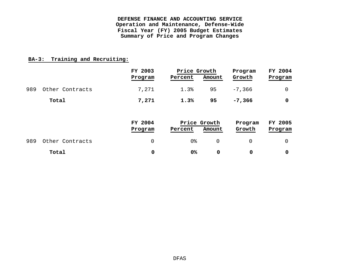**DEFENSE FINANCE AND ACCOUNTING SERVICE Operation and Maintenance, Defense-Wide Fiscal Year (FY) 2005 Budget Estimates Summary of Price and Program Changes**

# **BA-3: Training and Recruiting:**

|     |                 | FY 2003            | Price Growth     |                  | Program           | FY 2004            |
|-----|-----------------|--------------------|------------------|------------------|-------------------|--------------------|
|     |                 | Program            | Percent          | Amount           | Growth            | Program            |
| 989 | Other Contracts | 7,271              | 1.3%             | 95               | $-7,366$          | $\Omega$           |
|     | Total           | 7,271              | 1.3%             | 95               | $-7,366$          | 0                  |
|     |                 | FY 2004<br>Program | Price<br>Percent | Growth<br>Amount | Program<br>Growth | FY 2005<br>Program |
| 989 | Other Contracts | $\mathbf 0$        | 0 <sub>8</sub>   | $\mathbf 0$      | 0                 | 0                  |
|     | Total           | 0                  | 0%               | $\mathbf 0$      | 0                 | 0                  |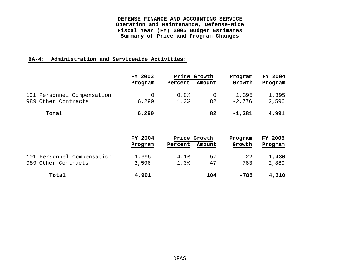**DEFENSE FINANCE AND ACCOUNTING SERVICE Operation and Maintenance, Defense-Wide Fiscal Year (FY) 2005 Budget Estimates Summary of Price and Program Changes**

# **BA-4: Administration and Servicewide Activities:**

|                            | FY 2003 |         | Price Growth | Program  | FY 2004 |
|----------------------------|---------|---------|--------------|----------|---------|
|                            | Program | Percent | Amount       | Growth   | Program |
| 101 Personnel Compensation |         | 0.0%    | 0            | 1,395    | 1,395   |
| 989 Other Contracts        | 6,290   | 1.3%    | 82           | $-2.776$ | 3,596   |
| Total                      | 6,290   |         | 82           | $-1,381$ | 4,991   |

|                            | FY 2004 | Price Growth |        | Program | FY 2005 |  |
|----------------------------|---------|--------------|--------|---------|---------|--|
|                            | Program | Percent      | Amount | Growth  | Program |  |
| 101 Personnel Compensation | 1,395   | 4.1%         | 57     | $-22$   | 1,430   |  |
| 989 Other Contracts        | 3,596   | 1.3%         | 47     | $-763$  | 2,880   |  |
| Total                      | 4,991   |              | 104    | $-785$  | 4,310   |  |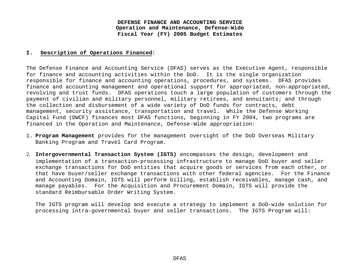#### **I. Description of Operations Financed:**

The Defense Finance and Accounting Service (DFAS) serves as the Executive Agent, responsible for finance and accounting activities within the DoD. It is the single organization responsible for finance and accounting operations, procedures, and systems. DFAS provides finance and accounting management and operational support for appropriated, non-appropriated, revolving and trust funds. DFAS operations touch a large population of customers through the payment of civilian and military personnel, military retirees, and annuitants; and through the collection and disbursement of a wide variety of DoD funds for contracts, debt management, security assistance, transportation and travel. While the Defense Working Capital Fund (DWCF) finances most DFAS functions, beginning in FY 2004, two programs are financed in the Operation and Maintenance, Defense-Wide appropriation:

- 1. **Program Management** provides for the management oversight of the DoD Overseas Military Banking Program and Travel Card Program.
- 2. **Intergovernmental Transaction System (IGTS)** encompasses the design, development and implementation of a transaction-processing infrastructure to manage DoD buyer and seller exchange transactions for DoD entities that acquire goods or services from each other, or that have buyer/seller exchange transactions with other federal agencies. For the Finance and Accounting Domain, IGTS will perform billing, establish receivables, manage cash, and manage payables. For the Acquisition and Procurement Domain, IGTS will provide the standard Reimbursable Order Writing System.

The IGTS program will develop and execute a strategy to implement a DoD-wide solution for processing intra-governmental buyer and seller transactions. The IGTS Program will: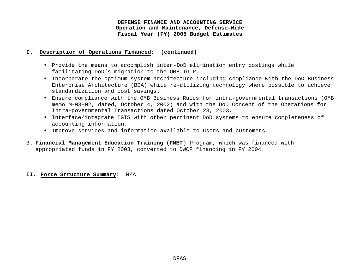#### **I. Description of Operations Financed: (continued)**

- Provide the means to accomplish inter-DoD elimination entry postings while facilitating DoD's migration to the OMB IGTP.
- Incorporate the optimum system architecture including compliance with the DoD Business Enterprise Architecture (BEA) while re-utilizing technology where possible to achieve standardization and cost savings.
- Ensure compliance with the OMB Business Rules for intra-governmental transactions (OMB memo M-03-02, dated, October 4, 2002) and with the DoD Concept of the Operations for Intra-governmental Transactions dated October 23, 2003.
- Interface/integrate IGTS with other pertinent DoD systems to ensure completeness of accounting information.
- Improve services and information available to users and customers.
- 3. **Financial Management Education Training (FMET**) Program, which was financed with appropriated funds in FY 2003, converted to DWCF financing in FY 2004.

#### **II. Force Structure Summary:** N/A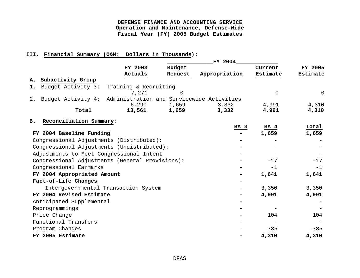# **III. Financial Summary (O&M: Dollars in Thousands):**

|                                                 |                                           |               | FY 2004       |             |             |  |  |
|-------------------------------------------------|-------------------------------------------|---------------|---------------|-------------|-------------|--|--|
|                                                 | FY 2003                                   | <b>Budget</b> |               | Current     | FY 2005     |  |  |
|                                                 | Actuals                                   | Request       | Appropriation | Estimate    | Estimate    |  |  |
| Subactivity Group<br>Α.                         |                                           |               |               |             |             |  |  |
| Budget Activity 3:<br>1.                        | Training & Recruiting                     |               |               |             |             |  |  |
|                                                 | 7,271                                     | $\Omega$      |               | $\Omega$    | $\mathbf 0$ |  |  |
| Budget Activity 4:<br>2.                        | Administration and Servicewide Activities |               |               |             |             |  |  |
|                                                 | 6,290                                     | 1,659         | 3,332         | 4,991       | 4,310       |  |  |
| Total                                           | 13,561                                    | 1,659         | 3,332         | 4,991       | 4,310       |  |  |
| Reconciliation Summary:<br>B <sub>1</sub>       |                                           |               |               |             |             |  |  |
|                                                 |                                           |               | BA 3          | <b>BA</b> 4 | Total       |  |  |
| FY 2004 Baseline Funding                        |                                           |               |               | 1,659       | 1,659       |  |  |
| Congressional Adjustments (Distributed):        |                                           |               |               |             |             |  |  |
| Congressional Adjustments (Undistributed):      |                                           |               |               |             |             |  |  |
| Adjustments to Meet Congressional Intent        |                                           |               |               |             |             |  |  |
| Congressional Adjustments (General Provisions): |                                           |               |               | $-17$       | $-17$       |  |  |
| Congressional Earmarks                          |                                           |               |               | $-1$        | $-1$        |  |  |
| FY 2004 Appropriated Amount                     |                                           |               |               | 1,641       | 1,641       |  |  |
| Fact-of-Life Changes                            |                                           |               |               |             |             |  |  |
| Intergovernmental Transaction System            |                                           |               |               | 3,350       | 3,350       |  |  |
| FY 2004 Revised Estimate                        |                                           |               |               | 4,991       | 4,991       |  |  |
| Anticipated Supplemental                        |                                           |               |               |             |             |  |  |
| Reprogrammings                                  |                                           |               |               |             |             |  |  |
| Price Change                                    |                                           |               |               | 104         | 104         |  |  |
| Functional Transfers                            |                                           |               |               |             |             |  |  |
| Program Changes                                 |                                           |               |               | $-785$      | $-785$      |  |  |
| FY 2005 Estimate                                |                                           |               |               | 4,310       | 4,310       |  |  |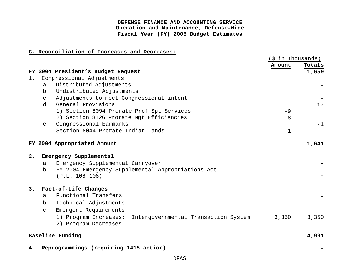# **C. Reconciliation of Increases and Decreases:**

|       |                                                               | (\$ in Thousands) |        |
|-------|---------------------------------------------------------------|-------------------|--------|
|       |                                                               | Amount            | Totals |
|       | FY 2004 President's Budget Request                            |                   | 1,659  |
| $1$ . | Congressional Adjustments                                     |                   |        |
|       | a. Distributed Adjustments                                    |                   |        |
|       | Undistributed Adjustments<br>b.                               |                   |        |
|       | c. Adjustments to meet Congressional intent                   |                   |        |
|       | d. General Provisions                                         |                   | $-17$  |
|       | 1) Section 8094 Prorate Prof Spt Services                     | $-9$              |        |
|       | 2) Section 8126 Prorate Mgt Efficiencies                      | $-8$              |        |
|       | e. Congressional Earmarks                                     |                   | $-1$   |
|       | Section 8044 Prorate Indian Lands                             | $-1$              |        |
|       | FY 2004 Appropriated Amount                                   |                   | 1,641  |
| 2.    | Emergency Supplemental                                        |                   |        |
|       | a. Emergency Supplemental Carryover                           |                   |        |
|       | b. FY 2004 Emergency Supplemental Appropriations Act          |                   |        |
|       | $(P.L. 108-106)$                                              |                   |        |
| 3.    | Fact-of-Life Changes                                          |                   |        |
|       | a. Functional Transfers                                       |                   |        |
|       | b. Technical Adjustments                                      |                   |        |
|       | Emergent Requirements<br>$C$ .                                |                   |        |
|       | 1) Program Increases:<br>Intergovernmental Transaction System | 3,350             | 3,350  |
|       | 2) Program Decreases                                          |                   |        |
|       | Baseline Funding                                              |                   | 4,991  |
| 4.    | Reprogrammings (requiring 1415 action)                        |                   |        |